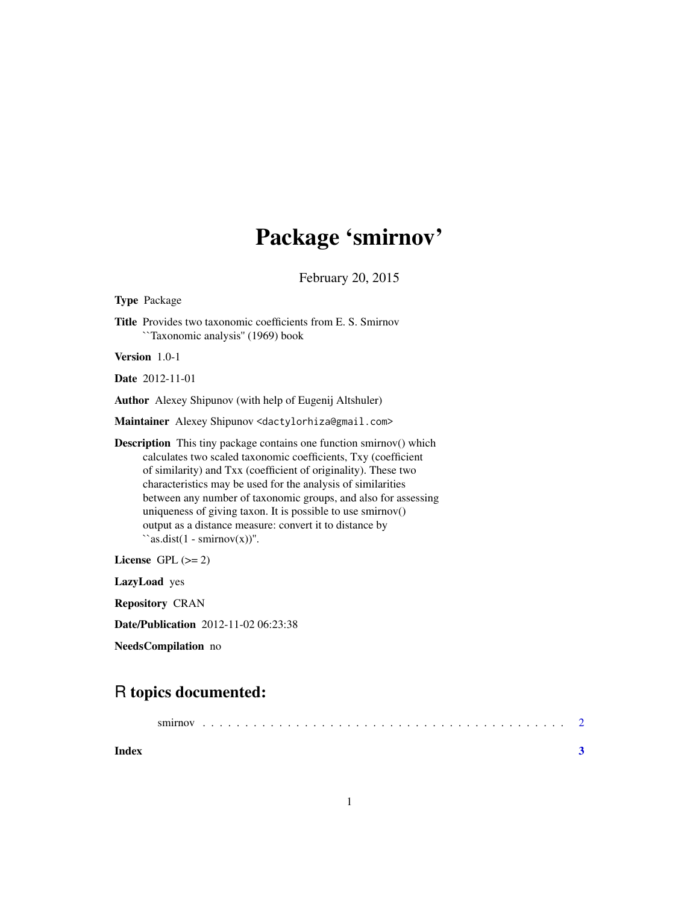## Package 'smirnov'

February 20, 2015

<span id="page-0-0"></span>Type Package

Title Provides two taxonomic coefficients from E. S. Smirnov ``Taxonomic analysis'' (1969) book

Version 1.0-1

Date 2012-11-01

Author Alexey Shipunov (with help of Eugenij Altshuler)

Maintainer Alexey Shipunov <dactylorhiza@gmail.com>

Description This tiny package contains one function smirnov() which calculates two scaled taxonomic coefficients, Txy (coefficient of similarity) and Txx (coefficient of originality). These two characteristics may be used for the analysis of similarities between any number of taxonomic groups, and also for assessing uniqueness of giving taxon. It is possible to use smirnov() output as a distance measure: convert it to distance by  $``as.dist(1 - smirnov(x))".$ 

License GPL  $(>= 2)$ 

LazyLoad yes

Repository CRAN

Date/Publication 2012-11-02 06:23:38

NeedsCompilation no

### R topics documented:

| Index |  |  |  |  |  |  |  |  |  |  |  |  |  |  |  |  |  |  |  |  |
|-------|--|--|--|--|--|--|--|--|--|--|--|--|--|--|--|--|--|--|--|--|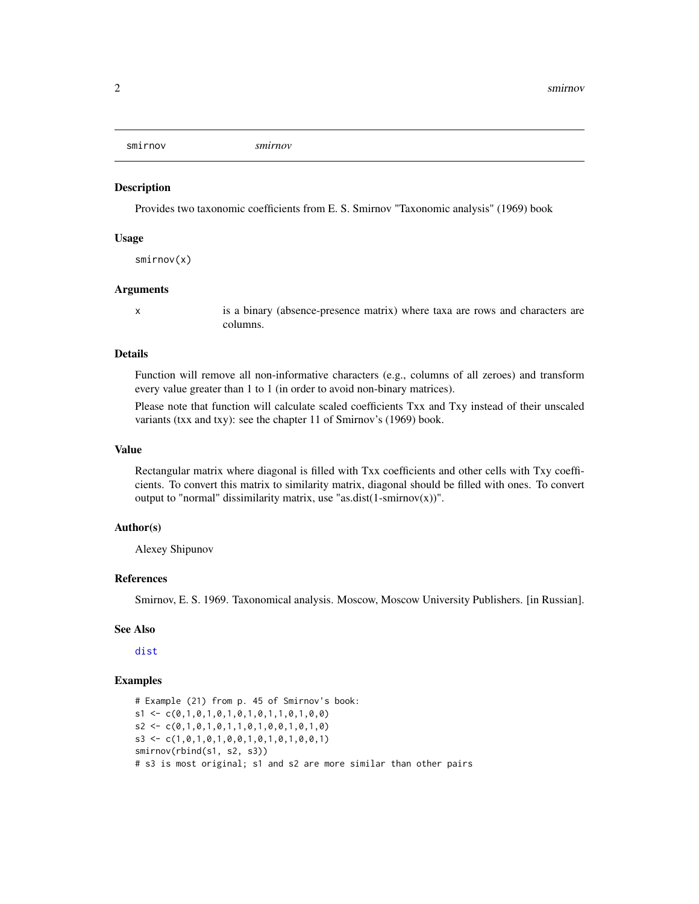<span id="page-1-0"></span>

#### Description

Provides two taxonomic coefficients from E. S. Smirnov "Taxonomic analysis" (1969) book

#### Usage

smirnov(x)

#### Arguments

x is a binary (absence-presence matrix) where taxa are rows and characters are columns.

#### Details

Function will remove all non-informative characters (e.g., columns of all zeroes) and transform every value greater than 1 to 1 (in order to avoid non-binary matrices).

Please note that function will calculate scaled coefficients Txx and Txy instead of their unscaled variants (txx and txy): see the chapter 11 of Smirnov's (1969) book.

#### Value

Rectangular matrix where diagonal is filled with Txx coefficients and other cells with Txy coefficients. To convert this matrix to similarity matrix, diagonal should be filled with ones. To convert output to "normal" dissimilarity matrix, use "as.dist(1-smirnov(x))".

#### Author(s)

Alexey Shipunov

#### References

Smirnov, E. S. 1969. Taxonomical analysis. Moscow, Moscow University Publishers. [in Russian].

#### See Also

[dist](#page-0-0)

#### Examples

# Example (21) from p. 45 of Smirnov's book:  $s1 \leftarrow c(0,1,0,1,0,1,0,1,0,1,1,0,1,0,0)$  $s2 \leq c(0,1,0,1,0,1,1,0,1,0,0,1,0,1,0)$ s3 <- c(1,0,1,0,1,0,0,1,0,1,0,1,0,0,1) smirnov(rbind(s1, s2, s3)) # s3 is most original; s1 and s2 are more similar than other pairs